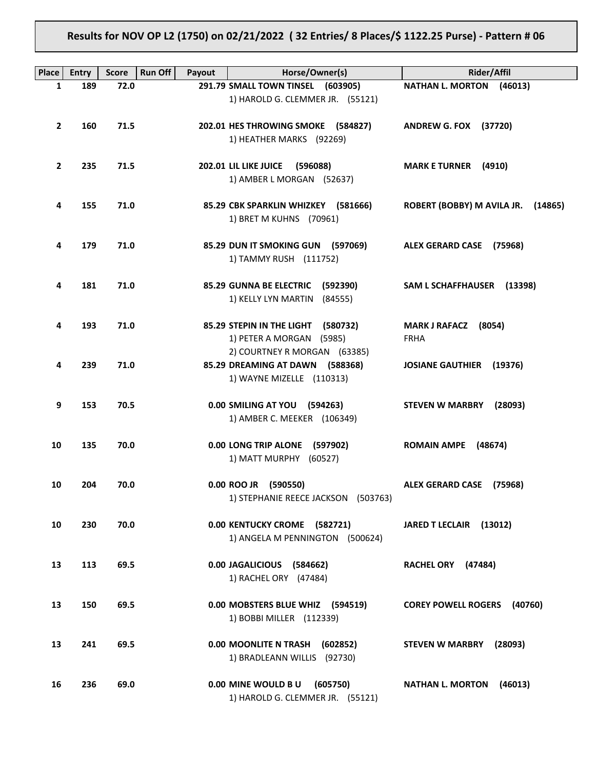# **Results for NOV OP L2 (1750) on 02/21/2022 ( 32 Entries/ 8 Places/\$ 1122.25 Purse) - Pattern # 06**

| <b>Place</b> | <b>Entry</b> | <b>Score</b> | <b>Run Off</b><br>Payout | Horse/Owner(s)                                               | <b>Rider/Affil</b>                    |
|--------------|--------------|--------------|--------------------------|--------------------------------------------------------------|---------------------------------------|
| 1            | 189          | 72.0         |                          | 291.79 SMALL TOWN TINSEL (603905)                            | <b>NATHAN L. MORTON</b><br>(46013)    |
|              |              |              |                          | 1) HAROLD G. CLEMMER JR. (55121)                             |                                       |
|              |              |              |                          |                                                              |                                       |
| $\mathbf{2}$ | 160          | 71.5         |                          | 202.01 HES THROWING SMOKE (584827)                           | <b>ANDREW G. FOX (37720)</b>          |
|              |              |              |                          | 1) HEATHER MARKS (92269)                                     |                                       |
|              |              |              |                          |                                                              |                                       |
| $\mathbf{2}$ | 235          | 71.5         |                          | 202.01 LIL LIKE JUICE<br>(596088)                            | <b>MARK E TURNER</b><br>(4910)        |
|              |              |              |                          | 1) AMBER L MORGAN (52637)                                    |                                       |
|              |              |              |                          |                                                              |                                       |
| 4            | 155          | 71.0         |                          | 85.29 CBK SPARKLIN WHIZKEY (581666)                          | ROBERT (BOBBY) M AVILA JR.<br>(14865) |
|              |              |              |                          | 1) BRET M KUHNS (70961)                                      |                                       |
|              |              |              |                          |                                                              |                                       |
| 4            | 179          | 71.0         |                          | 85.29 DUN IT SMOKING GUN (597069)                            | ALEX GERARD CASE (75968)              |
|              |              |              |                          | 1) TAMMY RUSH (111752)                                       |                                       |
|              |              |              |                          |                                                              |                                       |
| 4            | 181          | 71.0         |                          | 85.29 GUNNA BE ELECTRIC<br>(592390)                          | SAM L SCHAFFHAUSER (13398)            |
|              |              |              |                          | 1) KELLY LYN MARTIN<br>(84555)                               |                                       |
|              |              |              |                          |                                                              |                                       |
| 4            | 193          | 71.0         |                          | 85.29 STEPIN IN THE LIGHT<br>(580732)                        | <b>MARK J RAFACZ</b><br>(8054)        |
|              |              |              |                          | 1) PETER A MORGAN (5985)                                     | <b>FRHA</b>                           |
|              |              |              |                          | 2) COURTNEY R MORGAN (63385)                                 |                                       |
| 4            | 239          | 71.0         |                          | 85.29 DREAMING AT DAWN (588368)<br>1) WAYNE MIZELLE (110313) | <b>JOSIANE GAUTHIER</b><br>(19376)    |
|              |              |              |                          |                                                              |                                       |
| 9            | 153          | 70.5         |                          | 0.00 SMILING AT YOU (594263)                                 | <b>STEVEN W MARBRY</b><br>(28093)     |
|              |              |              |                          | 1) AMBER C. MEEKER (106349)                                  |                                       |
|              |              |              |                          |                                                              |                                       |
| 10           | 135          | 70.0         |                          | 0.00 LONG TRIP ALONE<br>(597902)                             | <b>ROMAIN AMPE</b><br>(48674)         |
|              |              |              |                          | 1) MATT MURPHY (60527)                                       |                                       |
|              |              |              |                          |                                                              |                                       |
| 10           | 204          | 70.0         |                          | 0.00 ROO JR (590550)                                         | ALEX GERARD CASE (75968)              |
|              |              |              |                          | 1) STEPHANIE REECE JACKSON (503763)                          |                                       |
|              |              |              |                          |                                                              |                                       |
| 10           | 230          | 70.0         |                          | 0.00 KENTUCKY CROME (582721)                                 | JARED T LECLAIR (13012)               |
|              |              |              |                          | 1) ANGELA M PENNINGTON (500624)                              |                                       |
|              |              |              |                          |                                                              |                                       |
| 13           | 113          | 69.5         |                          | 0.00 JAGALICIOUS (584662)                                    | RACHEL ORY (47484)                    |
|              |              |              |                          | 1) RACHEL ORY (47484)                                        |                                       |
|              |              |              |                          |                                                              |                                       |
| 13           | 150          | 69.5         |                          | 0.00 MOBSTERS BLUE WHIZ (594519)                             | <b>COREY POWELL ROGERS</b><br>(40760) |
|              |              |              |                          | 1) BOBBI MILLER (112339)                                     |                                       |
| 13           | 241          | 69.5         |                          | 0.00 MOONLITE N TRASH                                        |                                       |
|              |              |              |                          | (602852)<br>1) BRADLEANN WILLIS (92730)                      | <b>STEVEN W MARBRY</b><br>(28093)     |
|              |              |              |                          |                                                              |                                       |
| 16           | 236          | 69.0         |                          | 0.00 MINE WOULD BU<br>(605750)                               | <b>NATHAN L. MORTON</b><br>(46013)    |
|              |              |              |                          | 1) HAROLD G. CLEMMER JR. (55121)                             |                                       |
|              |              |              |                          |                                                              |                                       |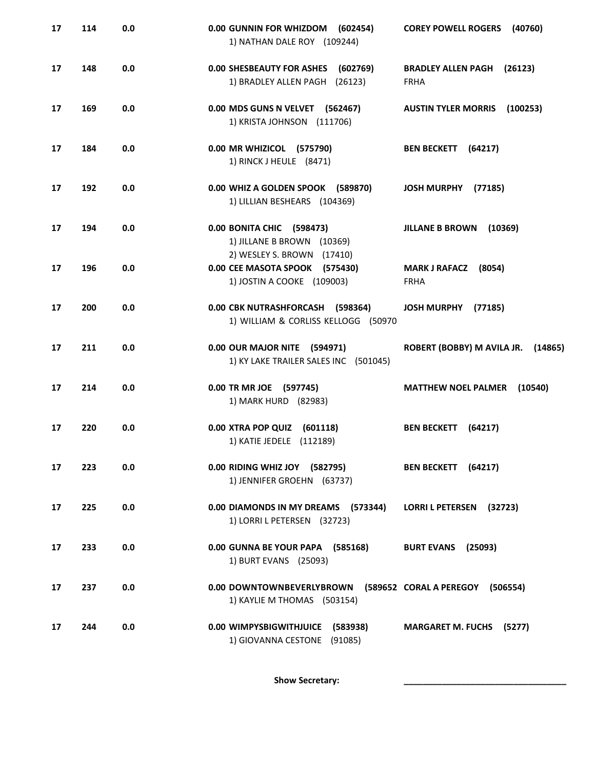| 17 | 114 | 0.0 | 0.00 GUNNIN FOR WHIZDOM<br>(602454)<br>1) NATHAN DALE ROY (109244)                         | <b>COREY POWELL ROGERS</b><br>(40760)               |
|----|-----|-----|--------------------------------------------------------------------------------------------|-----------------------------------------------------|
| 17 | 148 | 0.0 | 0.00 SHESBEAUTY FOR ASHES (602769)<br>1) BRADLEY ALLEN PAGH (26123)                        | <b>BRADLEY ALLEN PAGH</b><br>(26123)<br><b>FRHA</b> |
| 17 | 169 | 0.0 | 0.00 MDS GUNS N VELVET (562467)<br>1) KRISTA JOHNSON (111706)                              | <b>AUSTIN TYLER MORRIS</b><br>(100253)              |
| 17 | 184 | 0.0 | 0.00 MR WHIZICOL (575790)<br>1) RINCK J HEULE (8471)                                       | <b>BEN BECKETT</b><br>(64217)                       |
| 17 | 192 | 0.0 | 0.00 WHIZ A GOLDEN SPOOK (589870)<br>1) LILLIAN BESHEARS (104369)                          | <b>JOSH MURPHY</b><br>(77185)                       |
| 17 | 194 | 0.0 | 0.00 BONITA CHIC (598473)<br>1) JILLANE B BROWN (10369)                                    | <b>JILLANE B BROWN</b><br>(10369)                   |
| 17 | 196 | 0.0 | 2) WESLEY S. BROWN (17410)<br>0.00 CEE MASOTA SPOOK (575430)<br>1) JOSTIN A COOKE (109003) | <b>MARK J RAFACZ</b><br>(8054)<br><b>FRHA</b>       |
| 17 | 200 | 0.0 | 0.00 CBK NUTRASHFORCASH (598364)<br>1) WILLIAM & CORLISS KELLOGG (50970                    | <b>JOSH MURPHY</b><br>(77185)                       |
| 17 | 211 | 0.0 | 0.00 OUR MAJOR NITE (594971)<br>1) KY LAKE TRAILER SALES INC (501045)                      | ROBERT (BOBBY) M AVILA JR.<br>(14865)               |
| 17 | 214 | 0.0 | 0.00 TR MR JOE (597745)<br>1) MARK HURD (82983)                                            | <b>MATTHEW NOEL PALMER</b><br>(10540)               |
| 17 | 220 | 0.0 | 0.00 XTRA POP QUIZ (601118)<br>1) KATIE JEDELE (112189)                                    | (64217)<br><b>BEN BECKETT</b>                       |
| 17 | 223 | 0.0 | 0.00 RIDING WHIZ JOY (582795)<br>1) JENNIFER GROEHN (63737)                                | BEN BECKETT (64217)                                 |
| 17 | 225 | 0.0 | 0.00 DIAMONDS IN MY DREAMS (573344)<br>1) LORRI L PETERSEN (32723)                         | LORRI L PETERSEN (32723)                            |
| 17 | 233 | 0.0 | 0.00 GUNNA BE YOUR PAPA (585168)<br>1) BURT EVANS (25093)                                  | <b>BURT EVANS</b><br>(25093)                        |
| 17 | 237 | 0.0 | 0.00 DOWNTOWNBEVERLYBROWN<br>1) KAYLIE M THOMAS (503154)                                   | (589652 CORAL A PEREGOY (506554)                    |
| 17 | 244 | 0.0 | 0.00 WIMPYSBIGWITHJUICE<br>(583938)<br>1) GIOVANNA CESTONE<br>(91085)                      | <b>MARGARET M. FUCHS (5277)</b>                     |

Show Secretary: